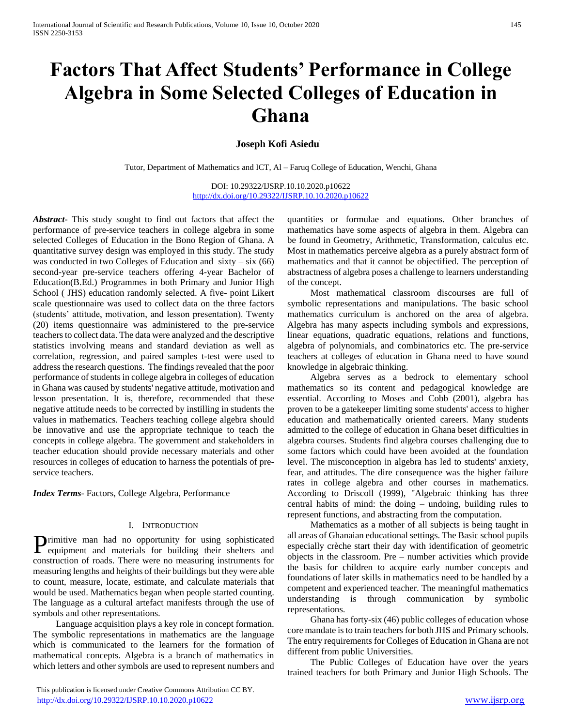# **Factors That Affect Students' Performance in College Algebra in Some Selected Colleges of Education in Ghana**

## **Joseph Kofi Asiedu**

Tutor, Department of Mathematics and ICT, Al – Faruq College of Education, Wenchi, Ghana

DOI: 10.29322/IJSRP.10.10.2020.p10622 <http://dx.doi.org/10.29322/IJSRP.10.10.2020.p10622>

*Abstract***-** This study sought to find out factors that affect the performance of pre-service teachers in college algebra in some selected Colleges of Education in the Bono Region of Ghana. A quantitative survey design was employed in this study. The study was conducted in two Colleges of Education and  $sixty - six(66)$ second-year pre-service teachers offering 4-year Bachelor of Education(B.Ed.) Programmes in both Primary and Junior High School ( JHS) education randomly selected. A five- point Likert scale questionnaire was used to collect data on the three factors (students' attitude, motivation, and lesson presentation). Twenty (20) items questionnaire was administered to the pre-service teachers to collect data. The data were analyzed and the descriptive statistics involving means and standard deviation as well as correlation, regression, and paired samples t-test were used to address the research questions. The findings revealed that the poor performance of students in college algebra in colleges of education in Ghana was caused by students' negative attitude, motivation and lesson presentation. It is, therefore, recommended that these negative attitude needs to be corrected by instilling in students the values in mathematics. Teachers teaching college algebra should be innovative and use the appropriate technique to teach the concepts in college algebra. The government and stakeholders in teacher education should provide necessary materials and other resources in colleges of education to harness the potentials of preservice teachers.

*Index Terms*- Factors, College Algebra, Performance

#### I. INTRODUCTION

rimitive man had no opportunity for using sophisticated Primitive man had no opportunity for using sophisticated<br>equipment and materials for building their shelters and construction of roads. There were no measuring instruments for measuring lengths and heights of their buildings but they were able to count, measure, locate, estimate, and calculate materials that would be used. Mathematics began when people started counting. The language as a cultural artefact manifests through the use of symbols and other representations.

 Language acquisition plays a key role in concept formation. The symbolic representations in mathematics are the language which is communicated to the learners for the formation of mathematical concepts. Algebra is a branch of mathematics in which letters and other symbols are used to represent numbers and

 This publication is licensed under Creative Commons Attribution CC BY. <http://dx.doi.org/10.29322/IJSRP.10.10.2020.p10622> [www.ijsrp.org](http://ijsrp.org/)

quantities or formulae and equations. Other branches of mathematics have some aspects of algebra in them. Algebra can be found in Geometry, Arithmetic, Transformation, calculus etc. Most in mathematics perceive algebra as a purely abstract form of mathematics and that it cannot be objectified. The perception of abstractness of algebra poses a challenge to learners understanding of the concept.

 Most mathematical classroom discourses are full of symbolic representations and manipulations. The basic school mathematics curriculum is anchored on the area of algebra. Algebra has many aspects including symbols and expressions, linear equations, quadratic equations, relations and functions, algebra of polynomials, and combinatorics etc. The pre-service teachers at colleges of education in Ghana need to have sound knowledge in algebraic thinking.

 Algebra serves as a bedrock to elementary school mathematics so its content and pedagogical knowledge are essential. According to Moses and Cobb (2001), algebra has proven to be a gatekeeper limiting some students' access to higher education and mathematically oriented careers. Many students admitted to the college of education in Ghana beset difficulties in algebra courses. Students find algebra courses challenging due to some factors which could have been avoided at the foundation level. The misconception in algebra has led to students' anxiety, fear, and attitudes. The dire consequence was the higher failure rates in college algebra and other courses in mathematics. According to Driscoll (1999), "Algebraic thinking has three central habits of mind: the doing – undoing, building rules to represent functions, and abstracting from the computation.

 Mathematics as a mother of all subjects is being taught in all areas of Ghanaian educational settings. The Basic school pupils especially crèche start their day with identification of geometric objects in the classroom. Pre – number activities which provide the basis for children to acquire early number concepts and foundations of later skills in mathematics need to be handled by a competent and experienced teacher. The meaningful mathematics understanding is through communication by symbolic representations.

 Ghana has forty-six (46) public colleges of education whose core mandate is to train teachers for both JHS and Primary schools. The entry requirements for Colleges of Education in Ghana are not different from public Universities.

 The Public Colleges of Education have over the years trained teachers for both Primary and Junior High Schools. The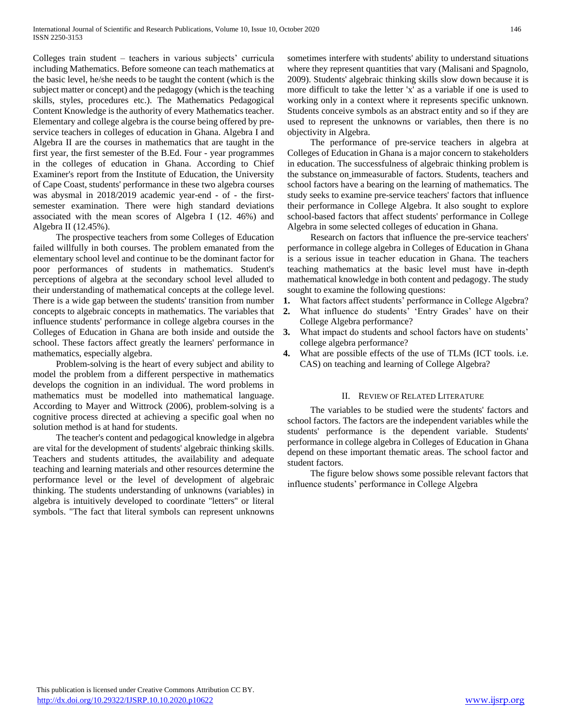Colleges train student – teachers in various subjects' curricula including Mathematics. Before someone can teach mathematics at the basic level, he/she needs to be taught the content (which is the subject matter or concept) and the pedagogy (which is the teaching skills, styles, procedures etc.). The Mathematics Pedagogical Content Knowledge is the authority of every Mathematics teacher. Elementary and college algebra is the course being offered by preservice teachers in colleges of education in Ghana. Algebra I and Algebra II are the courses in mathematics that are taught in the first year, the first semester of the B.Ed. Four - year programmes in the colleges of education in Ghana. According to Chief Examiner's report from the Institute of Education, the University of Cape Coast, students' performance in these two algebra courses was abysmal in 2018/2019 academic year-end - of - the firstsemester examination. There were high standard deviations associated with the mean scores of Algebra I (12. 46%) and Algebra II (12.45%).

 The prospective teachers from some Colleges of Education failed willfully in both courses. The problem emanated from the elementary school level and continue to be the dominant factor for poor performances of students in mathematics. Student's perceptions of algebra at the secondary school level alluded to their understanding of mathematical concepts at the college level. There is a wide gap between the students' transition from number concepts to algebraic concepts in mathematics. The variables that influence students' performance in college algebra courses in the Colleges of Education in Ghana are both inside and outside the school. These factors affect greatly the learners' performance in mathematics, especially algebra.

 Problem-solving is the heart of every subject and ability to model the problem from a different perspective in mathematics develops the cognition in an individual. The word problems in mathematics must be modelled into mathematical language. According to Mayer and Wittrock (2006), problem-solving is a cognitive process directed at achieving a specific goal when no solution method is at hand for students.

 The teacher's content and pedagogical knowledge in algebra are vital for the development of students' algebraic thinking skills. Teachers and students attitudes, the availability and adequate teaching and learning materials and other resources determine the performance level or the level of development of algebraic thinking. The students understanding of unknowns (variables) in algebra is intuitively developed to coordinate ''letters'' or literal symbols. "The fact that literal symbols can represent unknowns sometimes interfere with students' ability to understand situations where they represent quantities that vary (Malisani and Spagnolo, 2009). Students' algebraic thinking skills slow down because it is more difficult to take the letter 'x' as a variable if one is used to working only in a context where it represents specific unknown. Students conceive symbols as an abstract entity and so if they are used to represent the unknowns or variables, then there is no objectivity in Algebra.

 The performance of pre-service teachers in algebra at Colleges of Education in Ghana is a major concern to stakeholders in education. The successfulness of algebraic thinking problem is the substance on immeasurable of factors. Students, teachers and school factors have a bearing on the learning of mathematics. The study seeks to examine pre-service teachers' factors that influence their performance in College Algebra. It also sought to explore school-based factors that affect students' performance in College Algebra in some selected colleges of education in Ghana.

 Research on factors that influence the pre-service teachers' performance in college algebra in Colleges of Education in Ghana is a serious issue in teacher education in Ghana. The teachers teaching mathematics at the basic level must have in-depth mathematical knowledge in both content and pedagogy. The study sought to examine the following questions:

- **1.** What factors affect students' performance in College Algebra?
- **2.** What influence do students' 'Entry Grades' have on their College Algebra performance?
- **3.** What impact do students and school factors have on students' college algebra performance?
- **4.** What are possible effects of the use of TLMs (ICT tools. i.e. CAS) on teaching and learning of College Algebra?

## II. REVIEW OF RELATED LITERATURE

 The variables to be studied were the students' factors and school factors. The factors are the independent variables while the students' performance is the dependent variable. Students' performance in college algebra in Colleges of Education in Ghana depend on these important thematic areas. The school factor and student factors.

 The figure below shows some possible relevant factors that influence students' performance in College Algebra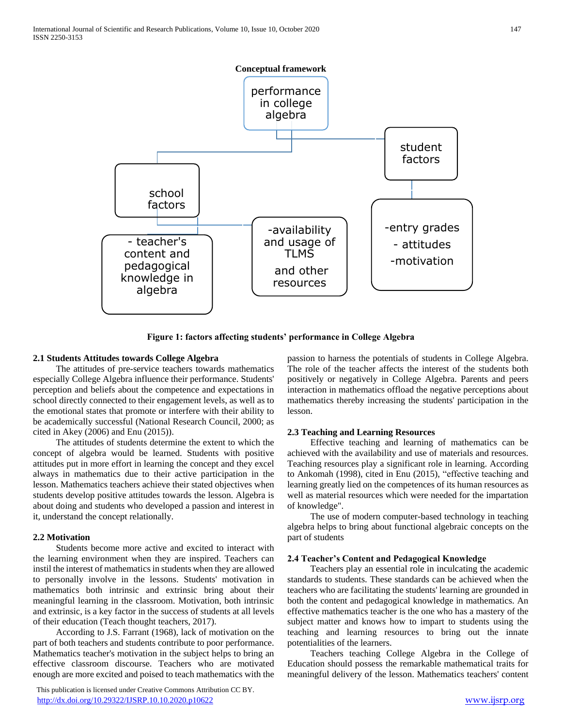

**Figure 1: factors affecting students' performance in College Algebra**

#### **2.1 Students Attitudes towards College Algebra**

 The attitudes of pre-service teachers towards mathematics especially College Algebra influence their performance. Students' perception and beliefs about the competence and expectations in school directly connected to their engagement levels, as well as to the emotional states that promote or interfere with their ability to be academically successful (National Research Council, 2000; as cited in Akey (2006) and Enu (2015)).

 The attitudes of students determine the extent to which the concept of algebra would be learned. Students with positive attitudes put in more effort in learning the concept and they excel always in mathematics due to their active participation in the lesson. Mathematics teachers achieve their stated objectives when students develop positive attitudes towards the lesson. Algebra is about doing and students who developed a passion and interest in it, understand the concept relationally.

## **2.2 Motivation**

 Students become more active and excited to interact with the learning environment when they are inspired. Teachers can instil the interest of mathematics in students when they are allowed to personally involve in the lessons. Students' motivation in mathematics both intrinsic and extrinsic bring about their meaningful learning in the classroom. Motivation, both intrinsic and extrinsic, is a key factor in the success of students at all levels of their education (Teach thought teachers, 2017).

 According to J.S. Farrant (1968), lack of motivation on the part of both teachers and students contribute to poor performance. Mathematics teacher's motivation in the subject helps to bring an effective classroom discourse. Teachers who are motivated enough are more excited and poised to teach mathematics with the

 This publication is licensed under Creative Commons Attribution CC BY. <http://dx.doi.org/10.29322/IJSRP.10.10.2020.p10622> [www.ijsrp.org](http://ijsrp.org/)

passion to harness the potentials of students in College Algebra. The role of the teacher affects the interest of the students both positively or negatively in College Algebra. Parents and peers interaction in mathematics offload the negative perceptions about mathematics thereby increasing the students' participation in the lesson.

#### **2.3 Teaching and Learning Resources**

 Effective teaching and learning of mathematics can be achieved with the availability and use of materials and resources. Teaching resources play a significant role in learning. According to Ankomah (1998), cited in Enu (2015), "effective teaching and learning greatly lied on the competences of its human resources as well as material resources which were needed for the impartation of knowledge".

 The use of modern computer-based technology in teaching algebra helps to bring about functional algebraic concepts on the part of students

## **2.4 Teacher's Content and Pedagogical Knowledge**

 Teachers play an essential role in inculcating the academic standards to students. These standards can be achieved when the teachers who are facilitating the students' learning are grounded in both the content and pedagogical knowledge in mathematics. An effective mathematics teacher is the one who has a mastery of the subject matter and knows how to impart to students using the teaching and learning resources to bring out the innate potentialities of the learners.

 Teachers teaching College Algebra in the College of Education should possess the remarkable mathematical traits for meaningful delivery of the lesson. Mathematics teachers' content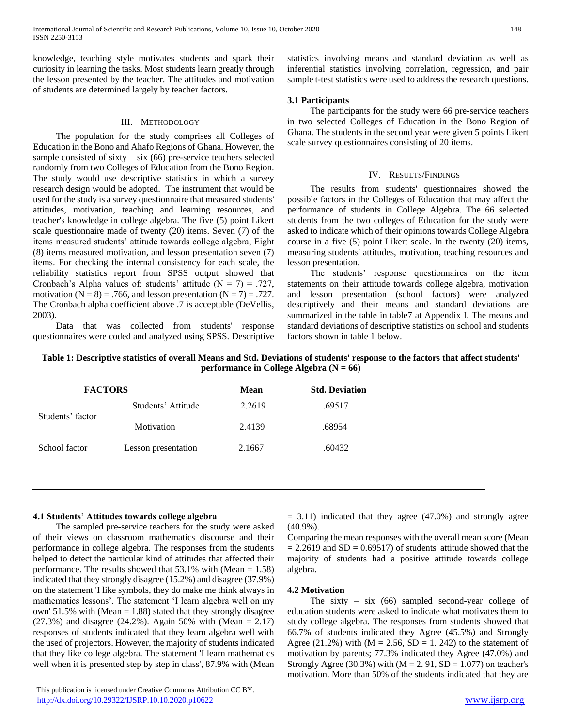knowledge, teaching style motivates students and spark their curiosity in learning the tasks. Most students learn greatly through the lesson presented by the teacher. The attitudes and motivation of students are determined largely by teacher factors.

#### III. METHODOLOGY

 The population for the study comprises all Colleges of Education in the Bono and Ahafo Regions of Ghana. However, the sample consisted of sixty – six  $(66)$  pre-service teachers selected randomly from two Colleges of Education from the Bono Region. The study would use descriptive statistics in which a survey research design would be adopted. The instrument that would be used for the study is a survey questionnaire that measured students' attitudes, motivation, teaching and learning resources, and teacher's knowledge in college algebra. The five (5) point Likert scale questionnaire made of twenty (20) items. Seven (7) of the items measured students' attitude towards college algebra, Eight (8) items measured motivation, and lesson presentation seven (7) items. For checking the internal consistency for each scale, the reliability statistics report from SPSS output showed that Cronbach's Alpha values of: students' attitude  $(N = 7) = .727$ , motivation ( $N = 8$ ) = .766, and lesson presentation ( $N = 7$ ) = .727. The Cronbach alpha coefficient above .7 is acceptable (DeVellis, 2003).

 Data that was collected from students' response questionnaires were coded and analyzed using SPSS. Descriptive statistics involving means and standard deviation as well as inferential statistics involving correlation, regression, and pair sample t-test statistics were used to address the research questions.

#### **3.1 Participants**

 The participants for the study were 66 pre-service teachers in two selected Colleges of Education in the Bono Region of Ghana. The students in the second year were given 5 points Likert scale survey questionnaires consisting of 20 items.

#### IV. RESULTS/FINDINGS

 The results from students' questionnaires showed the possible factors in the Colleges of Education that may affect the performance of students in College Algebra. The 66 selected students from the two colleges of Education for the study were asked to indicate which of their opinions towards College Algebra course in a five (5) point Likert scale. In the twenty (20) items, measuring students' attitudes, motivation, teaching resources and lesson presentation.

 The students' response questionnaires on the item statements on their attitude towards college algebra, motivation and lesson presentation (school factors) were analyzed descriptively and their means and standard deviations are summarized in the table in table7 at Appendix I. The means and standard deviations of descriptive statistics on school and students factors shown in table 1 below.

**Table 1: Descriptive statistics of overall Means and Std. Deviations of students' response to the factors that affect students' performance in College Algebra (N = 66)**

| <b>FACTORS</b>   |                     | <b>Mean</b> | <b>Std. Deviation</b> |
|------------------|---------------------|-------------|-----------------------|
| Students' factor | Students' Attitude  | 2.2619      | .69517                |
|                  | Motivation          | 2.4139      | .68954                |
| School factor    | Lesson presentation | 2.1667      | .60432                |
|                  |                     |             |                       |

#### **4.1 Students' Attitudes towards college algebra**

 The sampled pre-service teachers for the study were asked of their views on classroom mathematics discourse and their performance in college algebra. The responses from the students helped to detect the particular kind of attitudes that affected their performance. The results showed that 53.1% with (Mean = 1.58) indicated that they strongly disagree (15.2%) and disagree (37.9%) on the statement 'I like symbols, they do make me think always in mathematics lessons'. The statement 'I learn algebra well on my own' 51.5% with (Mean  $= 1.88$ ) stated that they strongly disagree  $(27.3%)$  and disagree  $(24.2%)$ . Again 50% with (Mean = 2.17) responses of students indicated that they learn algebra well with the used of projectors. However, the majority of students indicated that they like college algebra. The statement 'I learn mathematics well when it is presented step by step in class', 87.9% with (Mean  $= 3.11$ ) indicated that they agree (47.0%) and strongly agree (40.9%).

Comparing the mean responses with the overall mean score (Mean  $= 2.2619$  and SD  $= 0.69517$ ) of students' attitude showed that the majority of students had a positive attitude towards college algebra.

#### **4.2 Motivation**

The sixty – six  $(66)$  sampled second-year college of education students were asked to indicate what motivates them to study college algebra. The responses from students showed that 66.7% of students indicated they Agree (45.5%) and Strongly Agree (21.2%) with ( $M = 2.56$ ,  $SD = 1.242$ ) to the statement of motivation by parents; 77.3% indicated they Agree (47.0%) and Strongly Agree (30.3%) with  $(M = 2.91, SD = 1.077)$  on teacher's motivation. More than 50% of the students indicated that they are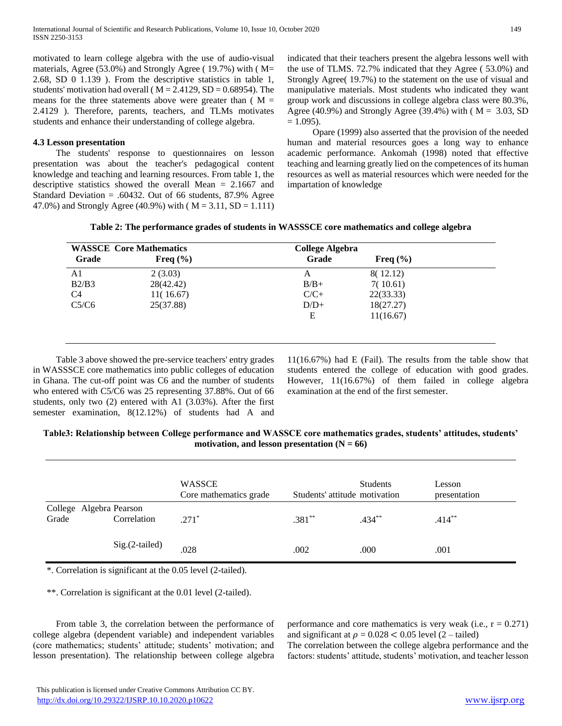motivated to learn college algebra with the use of audio-visual materials, Agree (53.0%) and Strongly Agree ( 19.7%) with ( M= 2.68, SD 0 1.139 ). From the descriptive statistics in table 1, students' motivation had overall ( $M = 2.4129$ , SD = 0.68954). The means for the three statements above were greater than  $(M =$ 2.4129 ). Therefore, parents, teachers, and TLMs motivates students and enhance their understanding of college algebra.

## **4.3 Lesson presentation**

 The students' response to questionnaires on lesson presentation was about the teacher's pedagogical content knowledge and teaching and learning resources. From table 1, the descriptive statistics showed the overall Mean = 2.1667 and Standard Deviation = .60432. Out of 66 students,  $87.9\%$  Agree 47.0%) and Strongly Agree (40.9%) with ( $M = 3.11$ , SD = 1.111) indicated that their teachers present the algebra lessons well with the use of TLMS. 72.7% indicated that they Agree ( 53.0%) and Strongly Agree( 19.7%) to the statement on the use of visual and manipulative materials. Most students who indicated they want group work and discussions in college algebra class were 80.3%, Agree (40.9%) and Strongly Agree (39.4%) with ( $M = 3.03$ , SD  $= 1.095$ ).

 Opare (1999) also asserted that the provision of the needed human and material resources goes a long way to enhance academic performance. Ankomah (1998) noted that effective teaching and learning greatly lied on the competences of its human resources as well as material resources which were needed for the impartation of knowledge

|  |  | Table 2: The performance grades of students in WASSSCE core mathematics and college algebra |  |  |  |
|--|--|---------------------------------------------------------------------------------------------|--|--|--|
|--|--|---------------------------------------------------------------------------------------------|--|--|--|

| <b>WASSCE Core Mathematics</b> |              | <b>College Algebra</b> |              |  |
|--------------------------------|--------------|------------------------|--------------|--|
| Grade                          | Freq $(\% )$ | Grade                  | Freq $(\% )$ |  |
| A1                             | 2(3.03)      | А                      | 8(12.12)     |  |
| B2/B3                          | 28(42.42)    | $B/B+$                 | 7(10.61)     |  |
| C <sub>4</sub>                 | 11(16.67)    | $C/C+$                 | 22(33.33)    |  |
| C5/C6                          | 25(37.88)    | $D/D+$                 | 18(27.27)    |  |
|                                |              | Ε                      | 11(16.67)    |  |
|                                |              |                        |              |  |

 Table 3 above showed the pre-service teachers' entry grades in WASSSCE core mathematics into public colleges of education in Ghana. The cut-off point was C6 and the number of students who entered with C5/C6 was 25 representing 37.88%. Out of 66 students, only two (2) entered with A1 (3.03%). After the first semester examination, 8(12.12%) of students had A and

11(16.67%) had E (Fail). The results from the table show that students entered the college of education with good grades. However, 11(16.67%) of them failed in college algebra examination at the end of the first semester.

| Table3: Relationship between College performance and WASSCE core mathematics grades, students' attitudes, students' |  |
|---------------------------------------------------------------------------------------------------------------------|--|
| motivation, and lesson presentation $(N = 66)$                                                                      |  |

|                                  |                | WASSCE<br>Core mathematics grade | Students' attitude motivation | <b>Students</b> | Lesson<br>presentation |
|----------------------------------|----------------|----------------------------------|-------------------------------|-----------------|------------------------|
| College Algebra Pearson<br>Grade | Correlation    | $.271*$                          | $.381**$                      | $.434***$       | $.414***$              |
|                                  | Sig.(2-tailed) | .028                             | .002                          | .000            | .001                   |

\*. Correlation is significant at the 0.05 level (2-tailed).

\*\*. Correlation is significant at the 0.01 level (2-tailed).

 From table 3, the correlation between the performance of college algebra (dependent variable) and independent variables (core mathematics; students' attitude; students' motivation; and lesson presentation). The relationship between college algebra

performance and core mathematics is very weak (i.e.,  $r = 0.271$ ) and significant at  $\rho = 0.028 < 0.05$  level (2 – tailed)

The correlation between the college algebra performance and the factors: students' attitude, students' motivation, and teacher lesson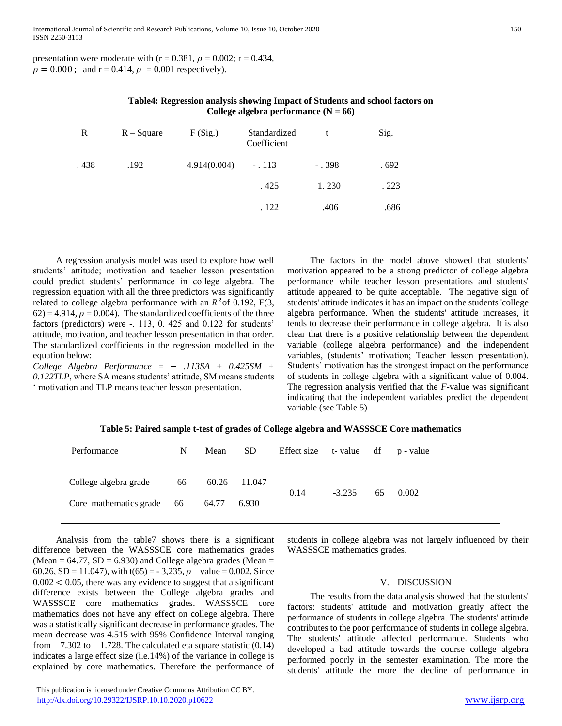presentation were moderate with (r = 0.381,  $\rho$  = 0.002; r = 0.434,  $\rho = 0.000$ ; and r = 0.414,  $\rho = 0.001$  respectively).

| $\mathbf R$ | $R - Square$ | F(Sig.)      | Standardized<br>Coefficient |          | Sig. |  |
|-------------|--------------|--------------|-----------------------------|----------|------|--|
| .438        | .192         | 4.914(0.004) | $-.113$                     | $-0.398$ | .692 |  |
|             |              |              | .425                        | 1.230    | .223 |  |
|             |              |              | .122                        | .406     | .686 |  |
|             |              |              |                             |          |      |  |

| Table4: Regression analysis showing Impact of Students and school factors on |
|------------------------------------------------------------------------------|
| College algebra performance $(N = 66)$                                       |

 A regression analysis model was used to explore how well students' attitude; motivation and teacher lesson presentation could predict students' performance in college algebra. The regression equation with all the three predictors was significantly related to college algebra performance with an  $R^2$  of 0.192, F(3,  $62$ ) = 4.914,  $\rho$  = 0.004). The standardized coefficients of the three factors (predictors) were -. 113, 0. 425 and 0.122 for students' attitude, motivation, and teacher lesson presentation in that order. The standardized coefficients in the regression modelled in the equation below:

 $Collected Algebra Performance = -113SA + 0.425SM +$ *0.122TLP,* where SA means students' attitude, SM means students ' motivation and TLP means teacher lesson presentation.

 The factors in the model above showed that students' motivation appeared to be a strong predictor of college algebra performance while teacher lesson presentations and students' attitude appeared to be quite acceptable. The negative sign of students' attitude indicates it has an impact on the students 'college algebra performance. When the students' attitude increases, it tends to decrease their performance in college algebra. It is also clear that there is a positive relationship between the dependent variable (college algebra performance) and the independent variables, (students' motivation; Teacher lesson presentation). Students' motivation has the strongest impact on the performance of students in college algebra with a significant value of 0.004. The regression analysis verified that the *F*-value was significant indicating that the independent variables predict the dependent variable (see Table 5)

|  | Table 5: Paired sample t-test of grades of College algebra and WASSSCE Core mathematics |
|--|-----------------------------------------------------------------------------------------|
|  |                                                                                         |

| Performance               | N | Mean  | <b>SD</b> | Effect size t-value df p-value |          |    |       |
|---------------------------|---|-------|-----------|--------------------------------|----------|----|-------|
| College algebra grade 66  |   | 60.26 | 11.047    | 0.14                           | $-3.235$ |    |       |
| Core mathematics grade 66 |   | 64.77 | 6.930     |                                |          | 65 | 0.002 |

 Analysis from the table7 shows there is a significant difference between the WASSSCE core mathematics grades (Mean =  $64.77$ , SD =  $6.930$ ) and College algebra grades (Mean = 60.26, SD = 11.047), with t(65) = -3,235,  $\rho$  – value = 0.002. Since  $0.002 < 0.05$ , there was any evidence to suggest that a significant difference exists between the College algebra grades and WASSSCE core mathematics grades. WASSSCE core mathematics does not have any effect on college algebra. There was a statistically significant decrease in performance grades. The mean decrease was 4.515 with 95% Confidence Interval ranging from  $-7.302$  to  $-1.728$ . The calculated eta square statistic (0.14) indicates a large effect size (i.e.14%) of the variance in college is explained by core mathematics. Therefore the performance of

students in college algebra was not largely influenced by their WASSSCE mathematics grades.

#### V. DISCUSSION

 The results from the data analysis showed that the students' factors: students' attitude and motivation greatly affect the performance of students in college algebra. The students' attitude contributes to the poor performance of students in college algebra. The students' attitude affected performance. Students who developed a bad attitude towards the course college algebra performed poorly in the semester examination. The more the students' attitude the more the decline of performance in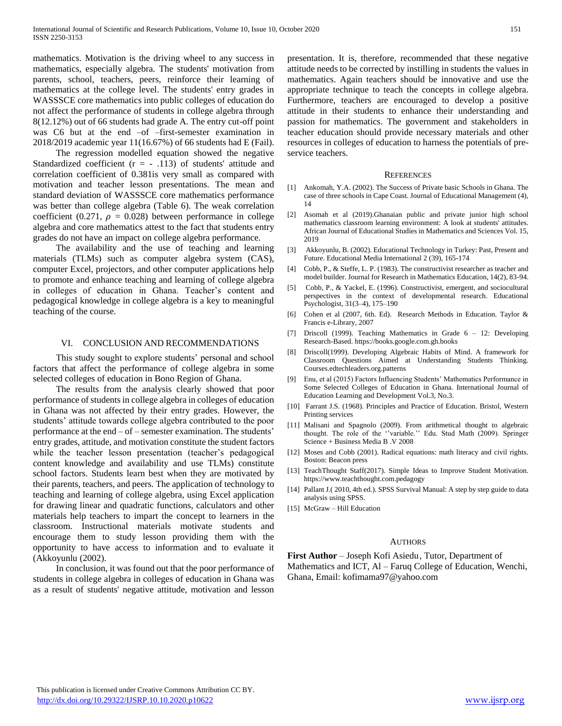mathematics. Motivation is the driving wheel to any success in mathematics, especially algebra. The students' motivation from parents, school, teachers, peers, reinforce their learning of mathematics at the college level. The students' entry grades in WASSSCE core mathematics into public colleges of education do not affect the performance of students in college algebra through 8(12.12%) out of 66 students had grade A. The entry cut-off point was C6 but at the end –of –first-semester examination in 2018/2019 academic year 11(16.67%) of 66 students had E (Fail).

 The regression modelled equation showed the negative Standardized coefficient ( $r = -0.113$ ) of students' attitude and correlation coefficient of 0.381is very small as compared with motivation and teacher lesson presentations. The mean and standard deviation of WASSSCE core mathematics performance was better than college algebra (Table 6). The weak correlation coefficient (0.271,  $\rho = 0.028$ ) between performance in college algebra and core mathematics attest to the fact that students entry grades do not have an impact on college algebra performance.

 The availability and the use of teaching and learning materials (TLMs) such as computer algebra system (CAS), computer Excel, projectors, and other computer applications help to promote and enhance teaching and learning of college algebra in colleges of education in Ghana. Teacher's content and pedagogical knowledge in college algebra is a key to meaningful teaching of the course.

#### VI. CONCLUSION AND RECOMMENDATIONS

 This study sought to explore students' personal and school factors that affect the performance of college algebra in some selected colleges of education in Bono Region of Ghana.

 The results from the analysis clearly showed that poor performance of students in college algebra in colleges of education in Ghana was not affected by their entry grades. However, the students' attitude towards college algebra contributed to the poor performance at the end – of – semester examination. The students' entry grades, attitude, and motivation constitute the student factors while the teacher lesson presentation (teacher's pedagogical content knowledge and availability and use TLMs) constitute school factors. Students learn best when they are motivated by their parents, teachers, and peers. The application of technology to teaching and learning of college algebra, using Excel application for drawing linear and quadratic functions, calculators and other materials help teachers to impart the concept to learners in the classroom. Instructional materials motivate students and encourage them to study lesson providing them with the opportunity to have access to information and to evaluate it (Akkoyunlu (2002).

 In conclusion, it was found out that the poor performance of students in college algebra in colleges of education in Ghana was as a result of students' negative attitude, motivation and lesson

presentation. It is, therefore, recommended that these negative attitude needs to be corrected by instilling in students the values in mathematics. Again teachers should be innovative and use the appropriate technique to teach the concepts in college algebra. Furthermore, teachers are encouraged to develop a positive attitude in their students to enhance their understanding and passion for mathematics. The government and stakeholders in teacher education should provide necessary materials and other resources in colleges of education to harness the potentials of preservice teachers.

#### **REFERENCES**

- [1] Ankomah, Y.A. (2002). The Success of Private basic Schools in Ghana. The case of three schools in Cape Coast. Journal of Educational Management (4), 14
- [2] Asomah et al (2019).Ghanaian public and private junior high school mathematics classroom learning environment: A look at students' attitudes. African Journal of Educational Studies in Mathematics and Sciences Vol. 15, 2019
- [3] Akkoyunlu, B. (2002). Educational Technology in Turkey: Past, Present and Future. Educational Media International 2 (39), 165-174
- [4] Cobb, P., & Steffe, L. P. (1983). The constructivist researcher as teacher and model builder. Journal for Research in Mathematics Education, 14(2), 83-94.
- [5] Cobb, P., & Yackel, E. (1996). Constructivist, emergent, and sociocultural perspectives in the context of developmental research. Educational Psychologist, 31(3–4), 175–190
- [6] Cohen et al (2007, 6th. Ed). Research Methods in Education. Taylor & Francis e-Library, 2007
- [7] Driscoll (1999). Teaching Mathematics in Grade 6 12: Developing Research-Based. https://books.google.com.gh.books
- [8] Driscoll(1999). Developing Algebraic Habits of Mind. A framework for Classroom Questions Aimed at Understanding Students Thinking. Courses.edtechleaders.org.patterns
- [9] Enu, et al (2015) Factors Influencing Students' Mathematics Performance in Some Selected Colleges of Education in Ghana. International Journal of Education Learning and Development Vol.3, No.3.
- [10] Farrant J.S. (1968). Principles and Practice of Education. Bristol, Western Printing services
- [11] Malisani and Spagnolo (2009). From arithmetical thought to algebraic thought. The role of the ''variable.'' Edu. Stud Math (2009). Springer Science + Business Media B .V 2008
- [12] Moses and Cobb (2001). Radical equations: math literacy and civil rights. Boston: Beacon press
- [13] TeachThought Staff(2017). Simple Ideas to Improve Student Motivation. https://www.teachthought.com.pedagogy
- [14] Pallant J.( 2010, 4th ed.). SPSS Survival Manual: A step by step guide to data analysis using SPSS.
- [15] McGraw Hill Education

#### **AUTHORS**

**First Author** – Joseph Kofi Asiedu, Tutor, Department of Mathematics and ICT, Al – Faruq College of Education, Wenchi, Ghana, Email: kofimama97@yahoo.com